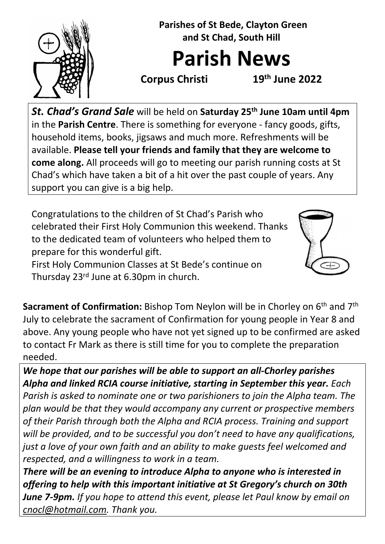

 **Parishes of St Bede, Clayton Green and St Chad, South Hill**

# **Parish News**

**Corpus Christi 19th June 2022** 

*St. Chad's Grand Sale* will be held on **Saturday 25th June 10am until 4pm** in the **Parish Centre**. There is something for everyone - fancy goods, gifts, household items, books, jigsaws and much more. Refreshments will be available. **Please tell your friends and family that they are welcome to come along.** All proceeds will go to meeting our parish running costs at St Chad's which have taken a bit of a hit over the past couple of years. Any support you can give is a big help.

Congratulations to the children of St Chad's Parish who celebrated their First Holy Communion this weekend. Thanks to the dedicated team of volunteers who helped them to prepare for this wonderful gift.

First Holy Communion Classes at St Bede's continue on Thursday 23rd June at 6.30pm in church.



**Sacrament of Confirmation:** Bishop Tom Neylon will be in Chorley on 6<sup>th</sup> and 7<sup>th</sup> July to celebrate the sacrament of Confirmation for young people in Year 8 and above. Any young people who have not yet signed up to be confirmed are asked to contact Fr Mark as there is still time for you to complete the preparation needed.

*We hope that our parishes will be able to support an all-Chorley parishes Alpha and linked RCIA course initiative, starting in September this year. Each Parish is asked to nominate one or two parishioners to join the Alpha team. The plan would be that they would accompany any current or prospective members of their Parish through both the Alpha and RCIA process. Training and support will be provided, and to be successful you don't need to have any qualifications, just a love of your own faith and an ability to make guests feel welcomed and respected, and a willingness to work in a team.* 

*There will be an evening to introduce Alpha to anyone who is interested in offering to help with this important initiative at St Gregory's church on 30th June 7-9pm. If you hope to attend this event, please let Paul know by email on [cnocl@hotmail.com.](mailto:cnocl@hotmail.com) Thank you.*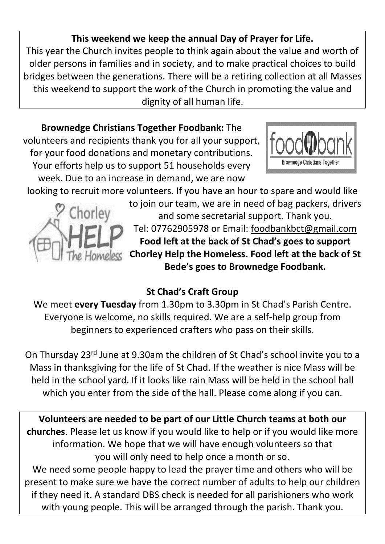### **This weekend we keep the annual Day of Prayer for Life.**

This year the Church invites people to think again about the value and worth of older persons in families and in society, and to make practical choices to build bridges between the generations. There will be a retiring collection at all Masses this weekend to support the work of the Church in promoting the value and dignity of all human life.

**Brownedge Christians Together Foodbank:** The volunteers and recipients thank you for all your support, for your food donations and monetary contributions. Your efforts help us to support 51 households every week. Due to an increase in demand, we are now



looking to recruit more volunteers. If you have an hour to spare and would like



to join our team, we are in need of bag packers, drivers and some secretarial support. Thank you. Tel: 07762905978 or Email: [foodbankbct@gmail.com](mailto:foodbankbct@gmail.com)  **Food left at the back of St Chad's goes to support Chorley Help the Homeless. Food left at the back of St Bede's goes to Brownedge Foodbank.**

#### **St Chad's Craft Group**

We meet **every Tuesday** from 1.30pm to 3.30pm in St Chad's Parish Centre. Everyone is welcome, no skills required. We are a self-help group from beginners to experienced crafters who pass on their skills.

On Thursday 23rd June at 9.30am the children of St Chad's school invite you to a Mass in thanksgiving for the life of St Chad. If the weather is nice Mass will be held in the school yard. If it looks like rain Mass will be held in the school hall which you enter from the side of the hall. Please come along if you can.

**Volunteers are needed to be part of our Little Church teams at both our churches**. Please let us know if you would like to help or if you would like more information. We hope that we will have enough volunteers so that you will only need to help once a month or so. We need some people happy to lead the prayer time and others who will be present to make sure we have the correct number of adults to help our children if they need it. A standard DBS check is needed for all parishioners who work with young people. This will be arranged through the parish. Thank you.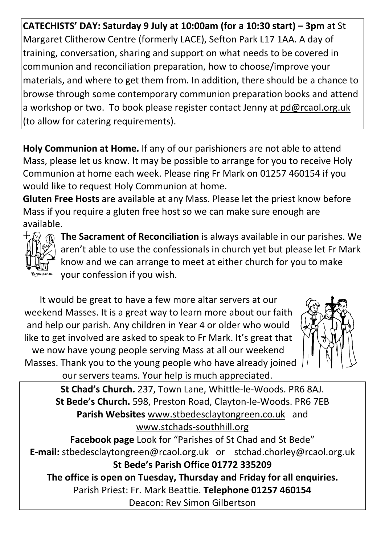**CATECHISTS' DAY: Saturday 9 July at 10:00am (for a 10:30 start) – 3pm** at St Margaret Clitherow Centre (formerly LACE), Sefton Park L17 1AA. A day of training, conversation, sharing and support on what needs to be covered in communion and reconciliation preparation, how to choose/improve your materials, and where to get them from. In addition, there should be a chance to browse through some contemporary communion preparation books and attend a workshop or two. To book please register contact Jenny at [pd@rcaol.org.uk](mailto:pd@rcaol.org.uk) (to allow for catering requirements).

**Holy Communion at Home.** If any of our parishioners are not able to attend Mass, please let us know. It may be possible to arrange for you to receive Holy Communion at home each week. Please ring Fr Mark on 01257 460154 if you would like to request Holy Communion at home.

**Gluten Free Hosts** are available at any Mass. Please let the priest know before Mass if you require a gluten free host so we can make sure enough are available.



**The Sacrament of Reconciliation** is always available in our parishes. We aren't able to use the confessionals in church yet but please let Fr Mark know and we can arrange to meet at either church for you to make your confession if you wish.

It would be great to have a few more altar servers at our weekend Masses. It is a great way to learn more about our faith and help our parish. Any children in Year 4 or older who would like to get involved are asked to speak to Fr Mark. It's great that we now have young people serving Mass at all our weekend Masses. Thank you to the young people who have already joined



our servers teams. Your help is much appreciated.

**St Chad's Church.** 237, Town Lane, Whittle-le-Woods. PR6 8AJ. **St Bede's Church.** 598, Preston Road, Clayton-le-Woods. PR6 7EB Parish Websites [www.stbedesclaytongreen.co.uk](http://www.stbedesclaytongreen.co.uk/) and [www.stchads-southhill.org](http://www.stchads-southhill.org/)

**Facebook page** Look for "Parishes of St Chad and St Bede" **E-mail:** [stbedesclaytongreen@rcaol.org.uk](mailto:stbedesclaytongreen@rcaol.org.uk) or [stchad.chorley@rcaol.org.uk](mailto:stchad.chorley@rcaol.org.uk) **St Bede's Parish Office 01772 335209**

**The office is open on Tuesday, Thursday and Friday for all enquiries.** Parish Priest: Fr. Mark Beattie. **Telephone 01257 460154** Deacon: Rev Simon Gilbertson